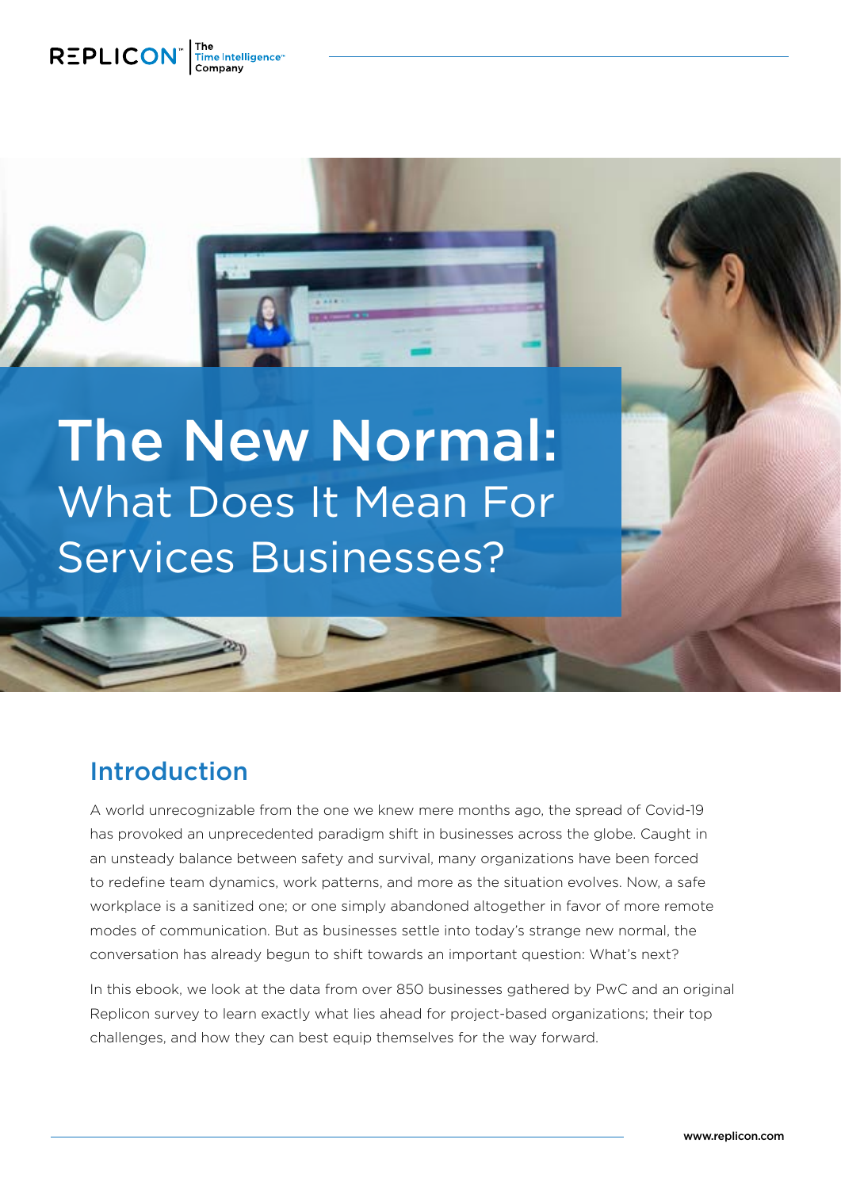

The New Normal: What Does It Mean For Services Businesses?

# Introduction

A world unrecognizable from the one we knew mere months ago, the spread of Covid-19 has provoked an unprecedented paradigm shift in businesses across the globe. Caught in an unsteady balance between safety and survival, many organizations have been forced to redefine team dynamics, work patterns, and more as the situation evolves. Now, a safe workplace is a sanitized one; or one simply abandoned altogether in favor of more remote modes of communication. But as businesses settle into today's strange new normal, the conversation has already begun to shift towards an important question: What's next?

In this ebook, we look at the data from over 850 businesses gathered by PwC and an original Replicon survey to learn exactly what lies ahead for project-based organizations; their top challenges, and how they can best equip themselves for the way forward.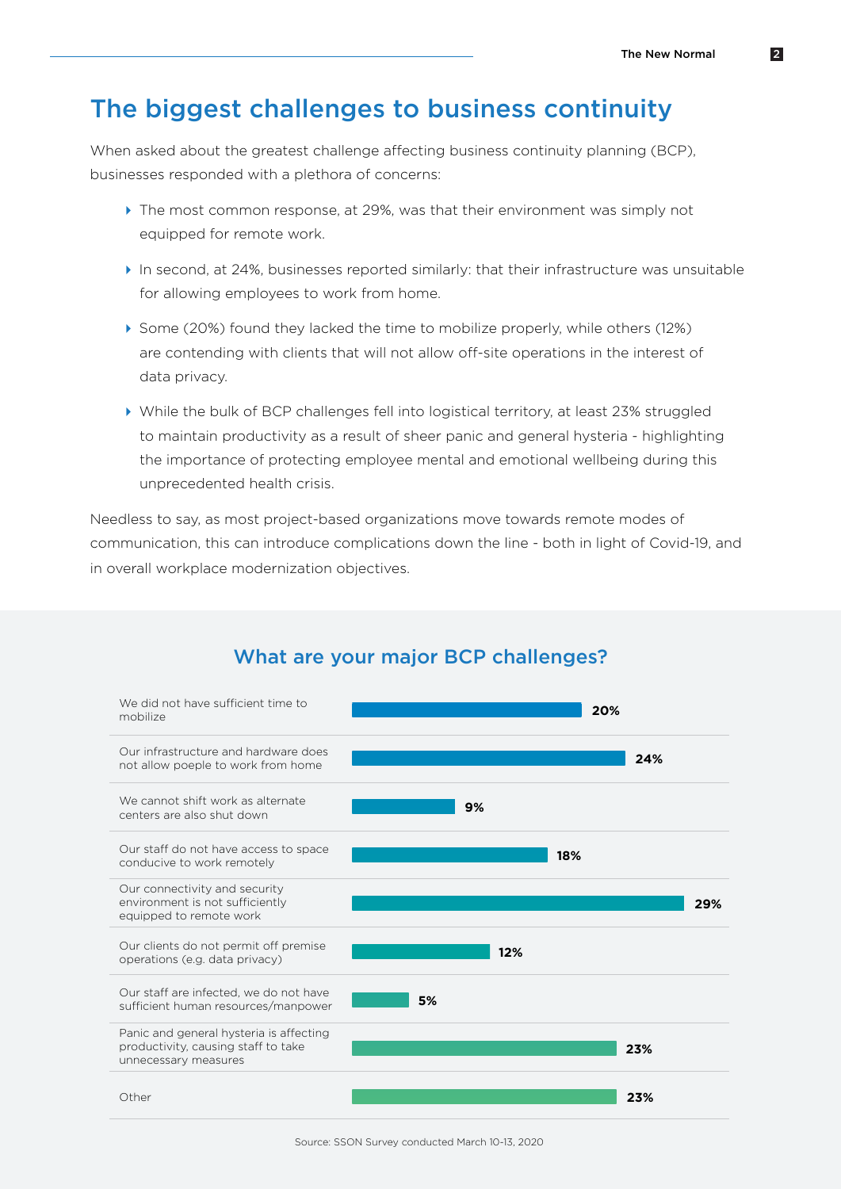## The biggest challenges to business continuity

When asked about the greatest challenge affecting business continuity planning (BCP), businesses responded with a plethora of concerns:

- � The most common response, at 29%, was that their environment was simply not equipped for remote work.
- � In second, at 24%, businesses reported similarly: that their infrastructure was unsuitable for allowing employees to work from home.
- � Some (20%) found they lacked the time to mobilize properly, while others (12%) are contending with clients that will not allow off-site operations in the interest of data privacy.
- � While the bulk of BCP challenges fell into logistical territory, at least 23% struggled to maintain productivity as a result of sheer panic and general hysteria - highlighting the importance of protecting employee mental and emotional wellbeing during this unprecedented health crisis.

Needless to say, as most project-based organizations move towards remote modes of communication, this can introduce complications down the line - both in light of Covid-19, and in overall workplace modernization objectives.



### What are your major BCP challenges?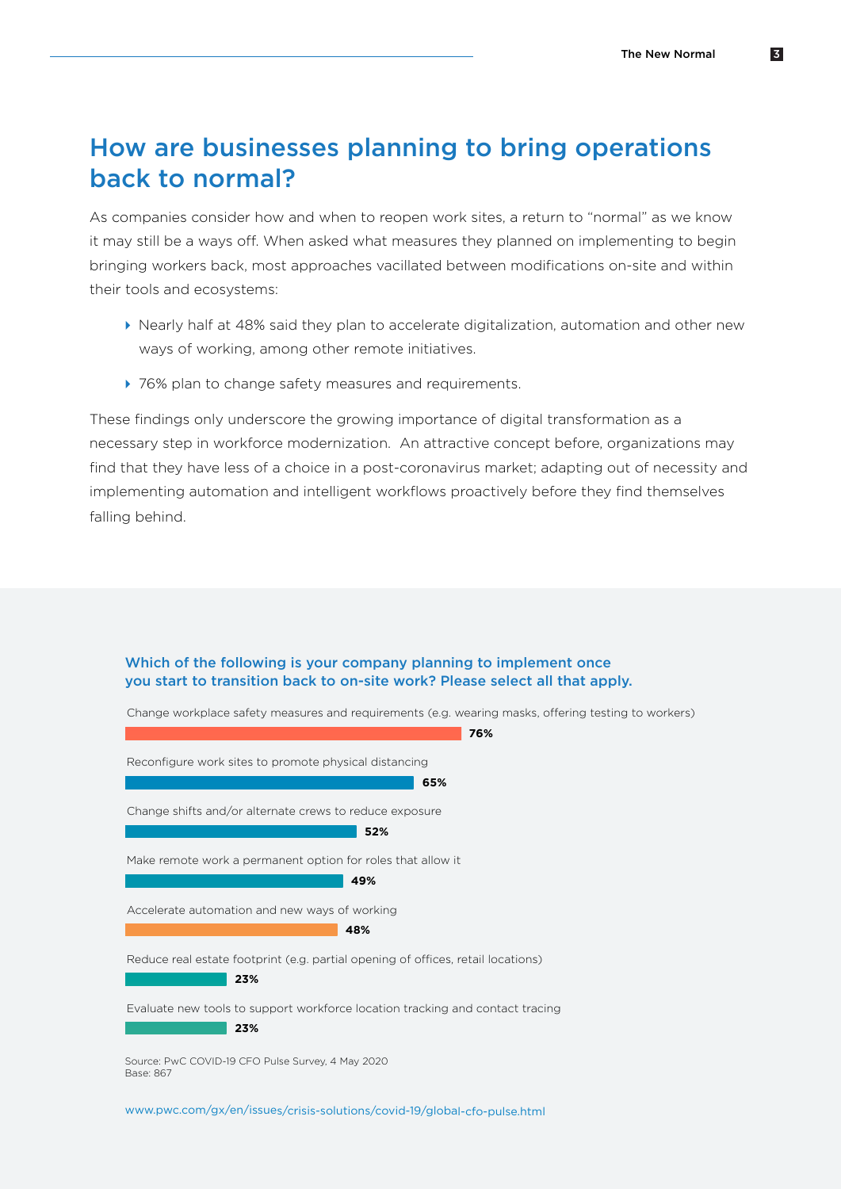# How are businesses planning to bring operations back to normal?

As companies consider how and when to reopen work sites, a return to "normal" as we know it may still be a ways off. When asked what measures they planned on implementing to begin bringing workers back, most approaches vacillated between modifications on-site and within their tools and ecosystems:

- � Nearly half at 48% said they plan to accelerate digitalization, automation and other new ways of working, among other remote initiatives.
- ▶ 76% plan to change safety measures and requirements.

These findings only underscore the growing importance of digital transformation as a necessary step in workforce modernization. An attractive concept before, organizations may find that they have less of a choice in a post-coronavirus market; adapting out of necessity and implementing automation and intelligent workflows proactively before they find themselves falling behind.





[www.pwc.com/gx/en/issues/crisis-solutions/covid-19/global-cfo-pulse.html](https://www.pwc.com/gx/en/issues/crisis-solutions/covid-19/global-cfo-pulse.html)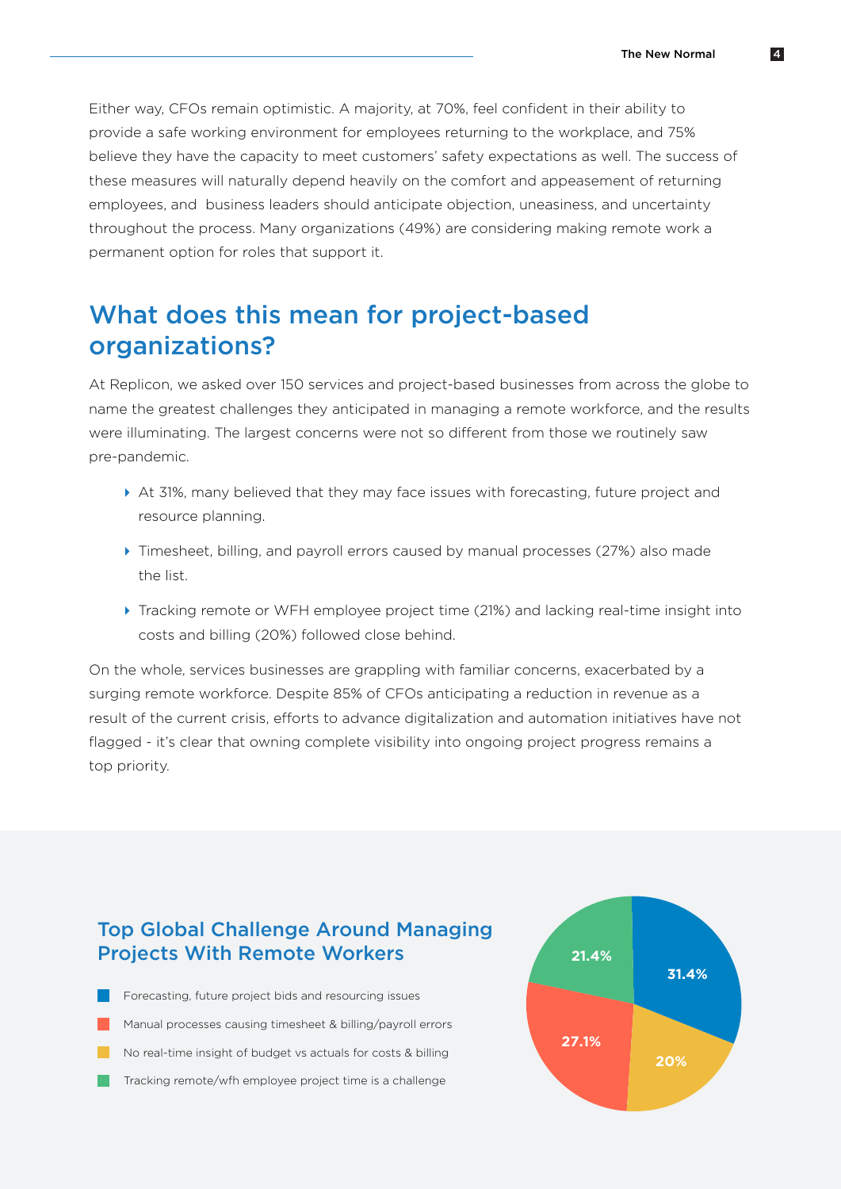Either way, CFOs remain optimistic. A majority, at 70%, feel confident in their ability to provide a safe working environment for employees returning to the workplace, and 75% believe they have the capacity to meet customers' safety expectations as well. The success of these measures will naturally depend heavily on the comfort and appeasement of returning employees, and business leaders should anticipate objection, uneasiness, and uncertainty throughout the process. Many organizations (49%) are considering making remote work a permanent option for roles that support it.

# What does this mean for project-based organizations?

At Replicon, we asked over 150 services and project-based businesses from across the globe to name the greatest challenges they anticipated in managing a remote workforce, and the results were illuminating. The largest concerns were not so different from those we routinely saw pre-pandemic.

- ▶ At 31%, many believed that they may face issues with forecasting, future project and resource planning.
- � Timesheet, billing, and payroll errors caused by manual processes (27%) also made the list.
- � Tracking remote or WFH employee project time (21%) and lacking real-time insight into costs and billing (20%) followed close behind.

On the whole, services businesses are grappling with familiar concerns, exacerbated by a surging remote workforce. Despite 85% of CFOs anticipating a reduction in revenue as a result of the current crisis, efforts to advance digitalization and automation initiatives have not flagged - it's clear that owning complete visibility into ongoing project progress remains a top priority.

### Top Global Challenge Around Managing Projects With Remote Workers

Forecasting, future project bids and resourcing issues Manual processes causing timesheet & billing/payroll errors No real-time insight of budget vs actuals for costs & billing Tracking remote/wfh employee project time is a challenge

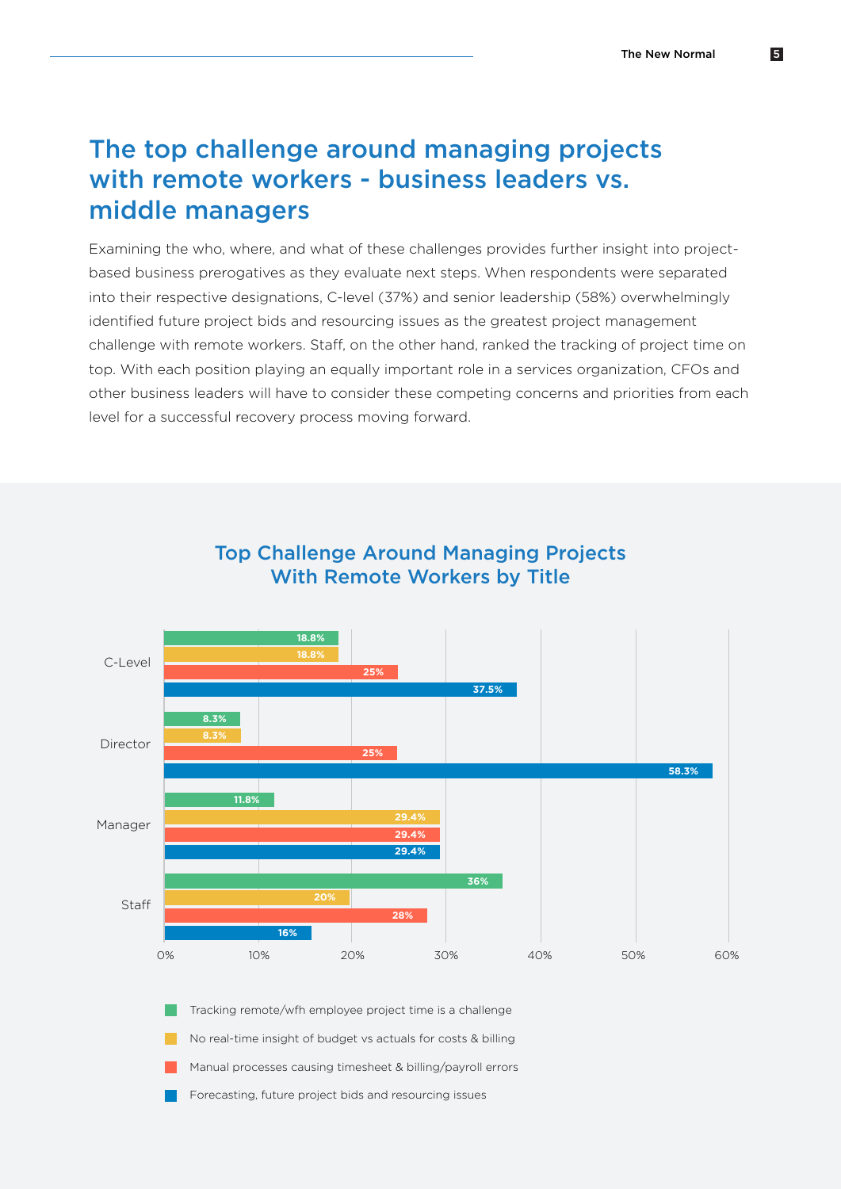## The top challenge around managing projects with remote workers - business leaders vs. middle managers

Examining the who, where, and what of these challenges provides further insight into projectbased business prerogatives as they evaluate next steps. When respondents were separated into their respective designations, C-level (37%) and senior leadership (58%) overwhelmingly identified future project bids and resourcing issues as the greatest project management challenge with remote workers. Staff, on the other hand, ranked the tracking of project time on top. With each position playing an equally important role in a services organization, CFOs and other business leaders will have to consider these competing concerns and priorities from each level for a successful recovery process moving forward.



### Top Challenge Around Managing Projects With Remote Workers by Title

Tracking remote/wfh employee project time is a challenge

No real-time insight of budget vs actuals for costs & billing

Manual processes causing timesheet & billing/payroll errors

Forecasting, future project bids and resourcing issues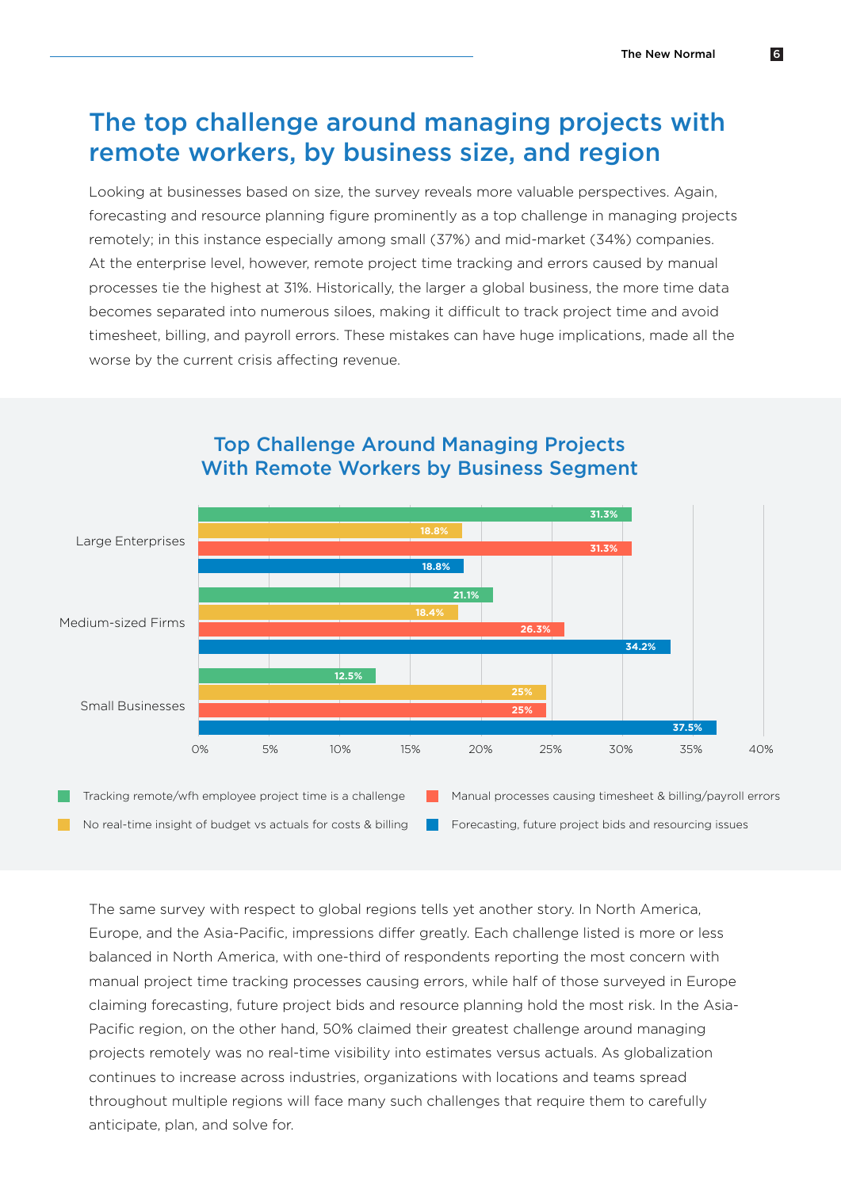# The top challenge around managing projects with remote workers, by business size, and region

Looking at businesses based on size, the survey reveals more valuable perspectives. Again, forecasting and resource planning figure prominently as a top challenge in managing projects remotely; in this instance especially among small (37%) and mid-market (34%) companies. At the enterprise level, however, remote project time tracking and errors caused by manual processes tie the highest at 31%. Historically, the larger a global business, the more time data becomes separated into numerous siloes, making it difficult to track project time and avoid timesheet, billing, and payroll errors. These mistakes can have huge implications, made all the worse by the current crisis affecting revenue.



### Top Challenge Around Managing Projects With Remote Workers by Business Segment

No real-time insight of budget vs actuals for costs & billing **Forecasting, future project bids and resourcing issues** 

The same survey with respect to global regions tells yet another story. In North America, Europe, and the Asia-Pacific, impressions differ greatly. Each challenge listed is more or less balanced in North America, with one-third of respondents reporting the most concern with manual project time tracking processes causing errors, while half of those surveyed in Europe claiming forecasting, future project bids and resource planning hold the most risk. In the Asia-Pacific region, on the other hand, 50% claimed their greatest challenge around managing projects remotely was no real-time visibility into estimates versus actuals. As globalization continues to increase across industries, organizations with locations and teams spread throughout multiple regions will face many such challenges that require them to carefully anticipate, plan, and solve for.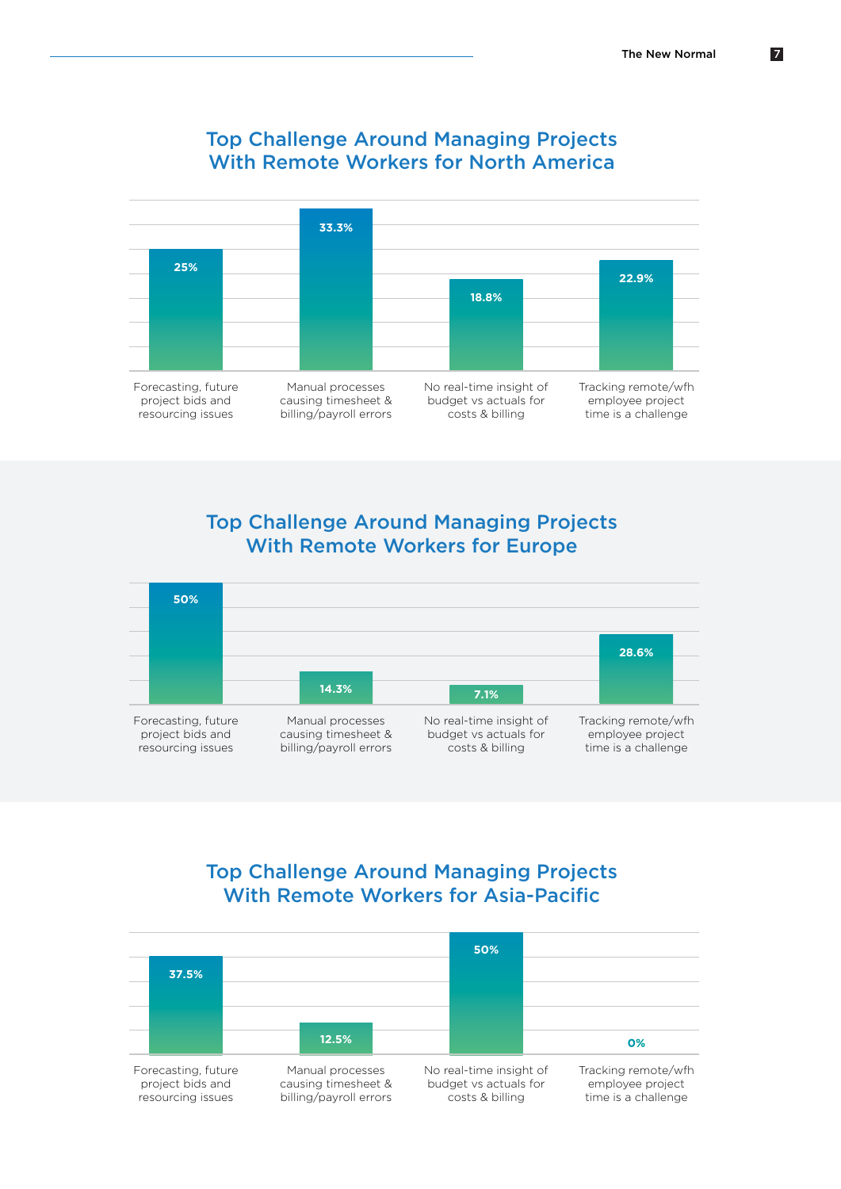

### Top Challenge Around Managing Projects With Remote Workers for North America

### Top Challenge Around Managing Projects With Remote Workers for Europe



### Top Challenge Around Managing Projects With Remote Workers for Asia-Pacific

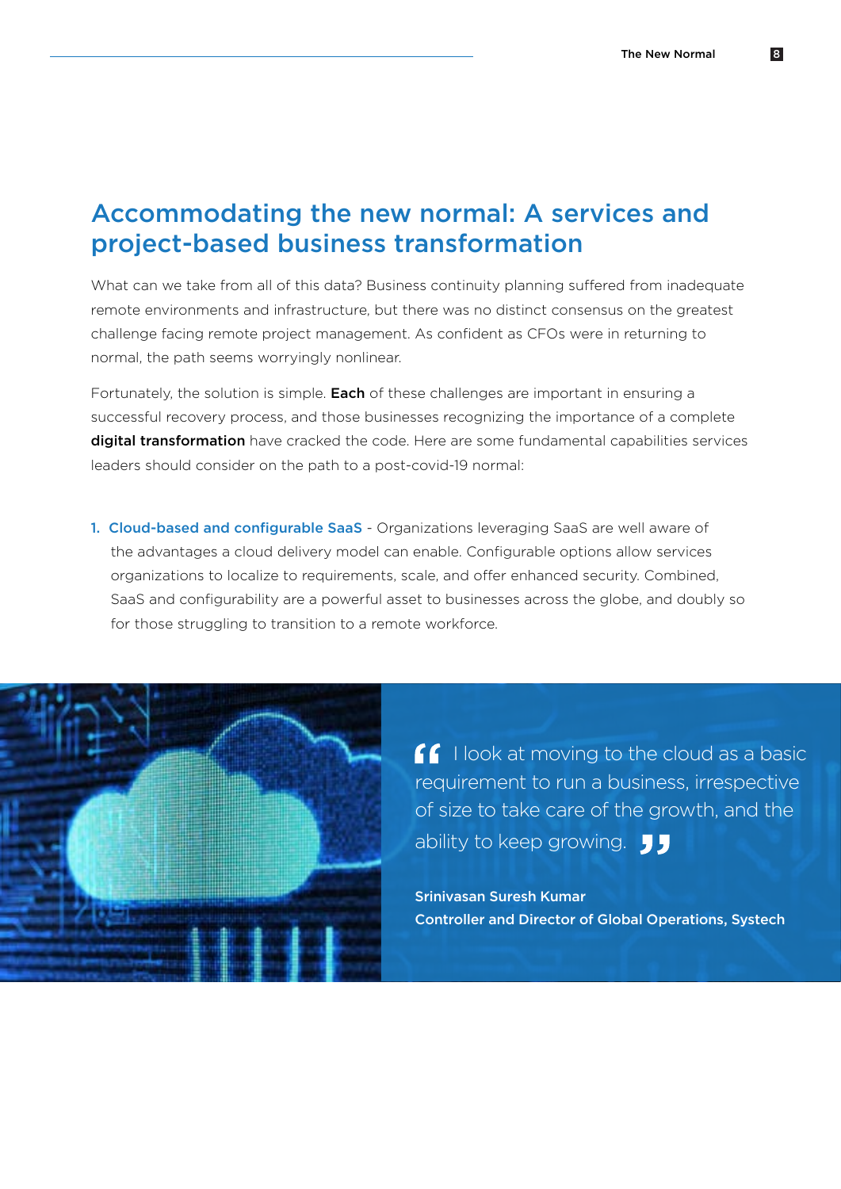# Accommodating the new normal: A services and project-based business transformation

What can we take from all of this data? Business continuity planning suffered from inadequate remote environments and infrastructure, but there was no distinct consensus on the greatest challenge facing remote project management. As confident as CFOs were in returning to normal, the path seems worryingly nonlinear.

Fortunately, the solution is simple. Each of these challenges are important in ensuring a successful recovery process, and those businesses recognizing the importance of a complete digital transformation have cracked the code. Here are some fundamental capabilities services leaders should consider on the path to a post-covid-19 normal:

1. Cloud-based and configurable SaaS - Organizations leveraging SaaS are well aware of the advantages a cloud delivery model can enable. Configurable options allow services organizations to localize to requirements, scale, and offer enhanced security. Combined, SaaS and configurability are a powerful asset to businesses across the globe, and doubly so for those struggling to transition to a remote workforce.



**I** look at moving to the cloud as a basic requirement to run a business, irrespective of size to take care of the growth, and the ability to keep growing.  $\Box$ 

Srinivasan Suresh Kumar Controller and Director of Global Operations, Systech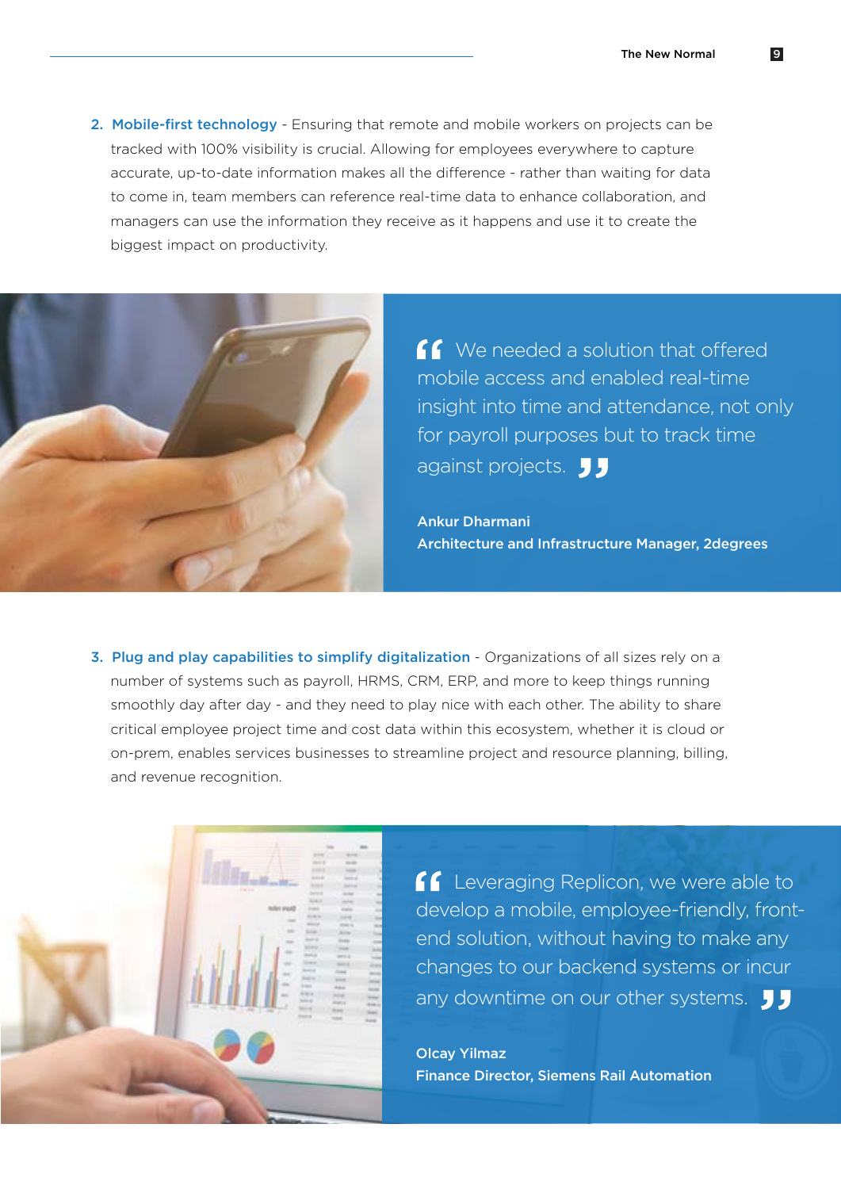2. Mobile-first technology - Ensuring that remote and mobile workers on projects can be tracked with 100% visibility is crucial. Allowing for employees everywhere to capture accurate, up-to-date information makes all the difference - rather than waiting for data to come in, team members can reference real-time data to enhance collaboration, and managers can use the information they receive as it happens and use it to create the biggest impact on productivity.



**f** We needed a solution that offered mobile access and enabled real-time insight into time and attendance, not only for payroll purposes but to track time against projects. JJ

Ankur Dharmani Architecture and Infrastructure Manager, 2degrees

3. Plug and play capabilities to simplify digitalization - Organizations of all sizes rely on a number of systems such as payroll, HRMS, CRM, ERP, and more to keep things running smoothly day after day - and they need to play nice with each other. The ability to share critical employee project time and cost data within this ecosystem, whether it is cloud or on-prem, enables services businesses to streamline project and resource planning, billing, and revenue recognition.



**Leveraging Replicon, we were able to** develop a mobile, employee-friendly, frontend solution, without having to make any changes to our backend systems or incur any downtime on our other systems.  $\int \int$ 

Olcay Yilmaz Finance Director, Siemens Rail Automation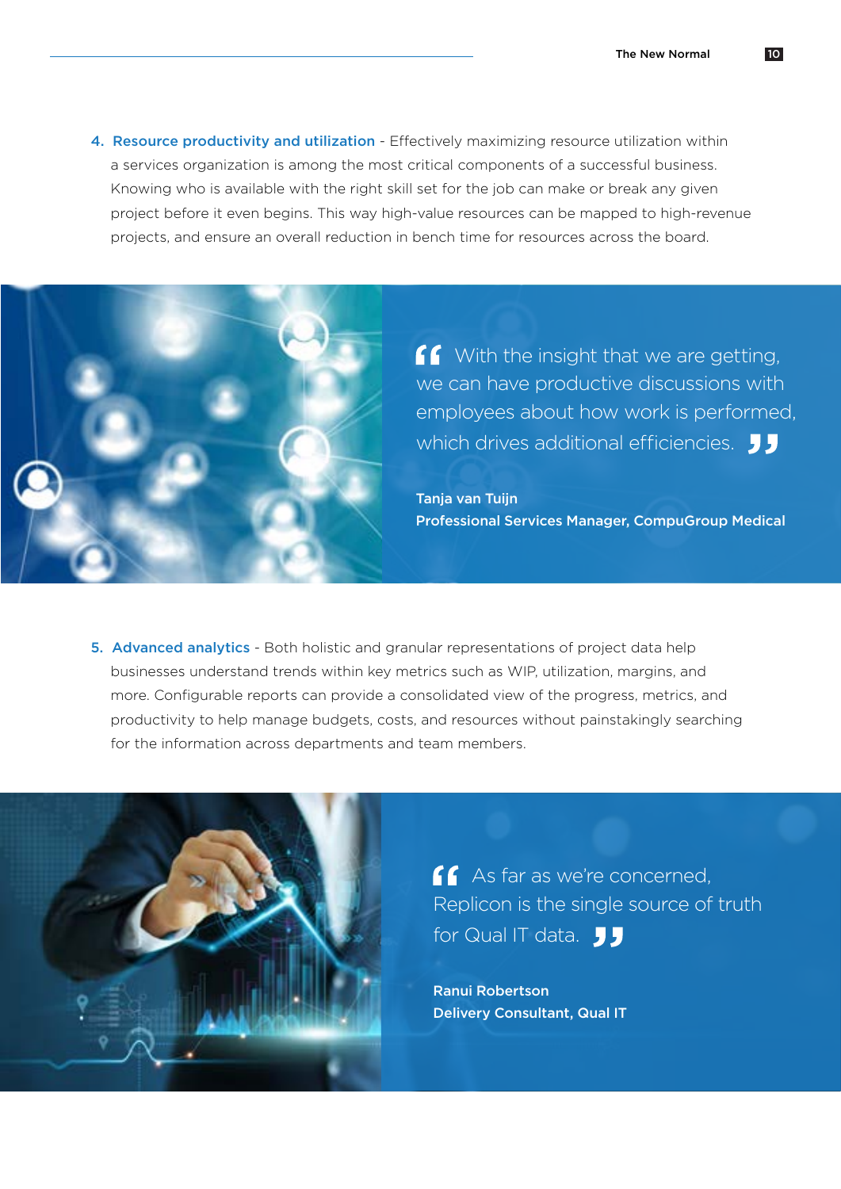4. Resource productivity and utilization - Effectively maximizing resource utilization within a services organization is among the most critical components of a successful business. Knowing who is available with the right skill set for the job can make or break any given project before it even begins. This way high-value resources can be mapped to high-revenue projects, and ensure an overall reduction in bench time for resources across the board.



**f** With the insight that we are getting, we can have productive discussions with employees about how work is performed, which drives additional efficiencies. **JJ** 

Tanja van Tuijn Professional Services Manager, CompuGroup Medical

5. Advanced analytics - Both holistic and granular representations of project data help businesses understand trends within key metrics such as WIP, utilization, margins, and more. Configurable reports can provide a consolidated view of the progress, metrics, and productivity to help manage budgets, costs, and resources without painstakingly searching for the information across departments and team members.



**As far as we're concerned,** Replicon is the single source of truth for Qual IT data.  $\Box$ 

Ranui Robertson Delivery Consultant, Qual IT